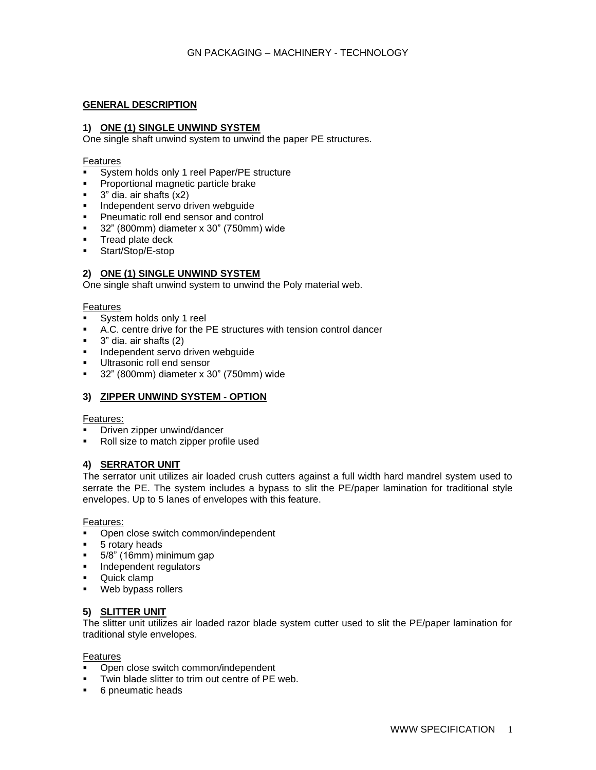# **GENERAL DESCRIPTION**

## **1) ONE (1) SINGLE UNWIND SYSTEM**

One single shaft unwind system to unwind the paper PE structures.

#### Features

- System holds only 1 reel Paper/PE structure
- Proportional magnetic particle brake
- $\blacksquare$  3" dia. air shafts  $(x2)$
- **■** Independent servo driven webguide
- Pneumatic roll end sensor and control
- 32" (800mm) diameter x 30" (750mm) wide
- Tread plate deck
- Start/Stop/E-stop

## **2) ONE (1) SINGLE UNWIND SYSTEM**

One single shaft unwind system to unwind the Poly material web.

#### Features

- System holds only 1 reel
- A.C. centre drive for the PE structures with tension control dancer
- $\blacksquare$  3" dia. air shafts (2)
- **·** Independent servo driven webguide
- Ultrasonic roll end sensor
- 32" (800mm) diameter x 30" (750mm) wide

## **3) ZIPPER UNWIND SYSTEM - OPTION**

#### Features:

- Driven zipper unwind/dancer
- Roll size to match zipper profile used

## **4) SERRATOR UNIT**

The serrator unit utilizes air loaded crush cutters against a full width hard mandrel system used to serrate the PE. The system includes a bypass to slit the PE/paper lamination for traditional style envelopes. Up to 5 lanes of envelopes with this feature.

#### Features:

- Open close switch common/independent
- 5 rotary heads
- 5/8" (16mm) minimum gap
- **·** Independent regulators
- Quick clamp
- Web bypass rollers

## **5) SLITTER UNIT**

The slitter unit utilizes air loaded razor blade system cutter used to slit the PE/paper lamination for traditional style envelopes.

## Features

- Open close switch common/independent
- Twin blade slitter to trim out centre of PE web.
- 6 pneumatic heads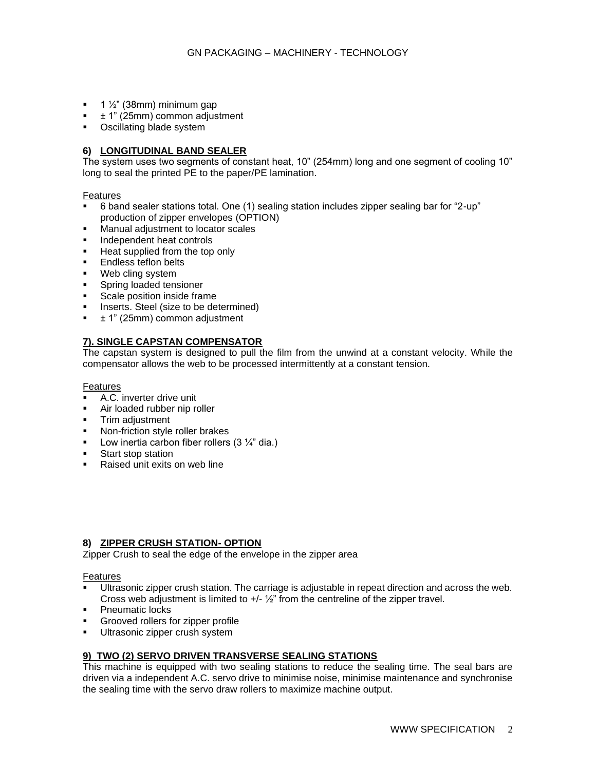- $\blacksquare$  1  $\frac{1}{2}$ " (38mm) minimum gap
- ± 1" (25mm) common adjustment
- Oscillating blade system

## **6) LONGITUDINAL BAND SEALER**

The system uses two segments of constant heat, 10" (254mm) long and one segment of cooling 10" long to seal the printed PE to the paper/PE lamination.

Features

- 6 band sealer stations total. One (1) sealing station includes zipper sealing bar for "2-up" production of zipper envelopes (OPTION)
- Manual adjustment to locator scales
- **■** Independent heat controls<br>■ Heat supplied from the ton
- Heat supplied from the top only
- Endless teflon belts
- Web cling system
- **EXECUTE:** Spring loaded tensioner
- Scale position inside frame
- Inserts. Steel (size to be determined)
- ± 1" (25mm) common adjustment

# **7). SINGLE CAPSTAN COMPENSATOR**

The capstan system is designed to pull the film from the unwind at a constant velocity. While the compensator allows the web to be processed intermittently at a constant tension.

Features

- A.C. inverter drive unit
- Air loaded rubber nip roller
- **■** Trim adjustment
- Non-friction style roller brakes
- **•** Low inertia carbon fiber rollers  $(3 \frac{1}{4})$  dia.)
- Start stop station
- Raised unit exits on web line

## **8) ZIPPER CRUSH STATION- OPTION**

Zipper Crush to seal the edge of the envelope in the zipper area

Features

- Ultrasonic zipper crush station. The carriage is adjustable in repeat direction and across the web. Cross web adjustment is limited to  $+/-$  1/<sub>2</sub>" from the centreline of the zipper travel.
- Pneumatic locks
- Grooved rollers for zipper profile
- **■** Ultrasonic zipper crush system

## **9) TWO (2) SERVO DRIVEN TRANSVERSE SEALING STATIONS**

This machine is equipped with two sealing stations to reduce the sealing time. The seal bars are driven via a independent A.C. servo drive to minimise noise, minimise maintenance and synchronise the sealing time with the servo draw rollers to maximize machine output.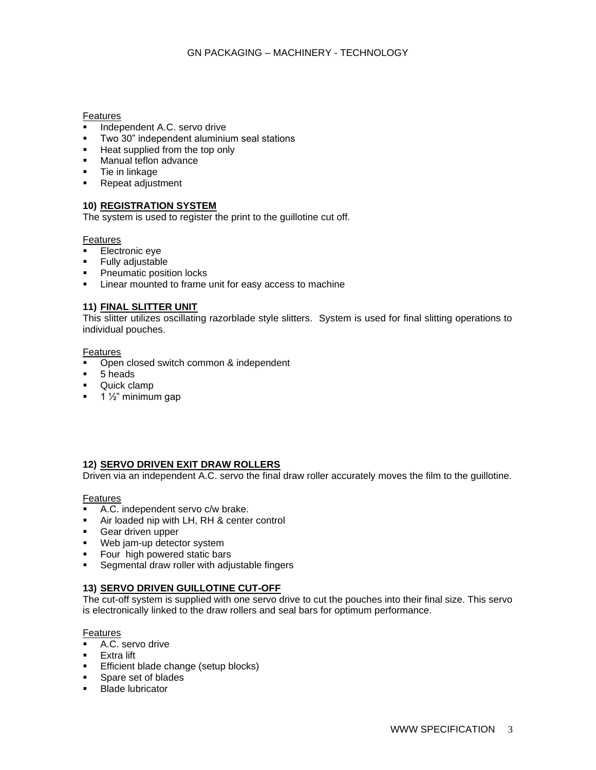### Features

- **■** Independent A.C. servo drive
- Two 30" independent aluminium seal stations
- **EXECT:** Heat supplied from the top only
- Manual teflon advance
- **Tie in linkage**
- Repeat adjustment

# **10) REGISTRATION SYSTEM**

The system is used to register the print to the guillotine cut off.

## **Features**

- Electronic eye<br>■ Fully adjustable
- **Fully adjustable**
- Pneumatic position locks
- Linear mounted to frame unit for easy access to machine

# **11) FINAL SLITTER UNIT**

This slitter utilizes oscillating razorblade style slitters. System is used for final slitting operations to individual pouches.

## Features

- Open closed switch common & independent
- 5 heads
- Quick clamp
- $\blacksquare$  1  $\frac{1}{2}$ " minimum gap

# **12) SERVO DRIVEN EXIT DRAW ROLLERS**

Driven via an independent A.C. servo the final draw roller accurately moves the film to the guillotine.

## Features

- A.C. independent servo c/w brake.
- Air loaded nip with LH, RH & center control
- **•** Gear driven upper
- Web jam-up detector system
- Four high powered static bars
- **EXE** Segmental draw roller with adjustable fingers

## **13) SERVO DRIVEN GUILLOTINE CUT-OFF**

The cut-off system is supplied with one servo drive to cut the pouches into their final size. This servo is electronically linked to the draw rollers and seal bars for optimum performance.

## Features

- A.C. servo drive
- **Extra lift**
- **Efficient blade change (setup blocks)**
- Spare set of blades
- Blade lubricator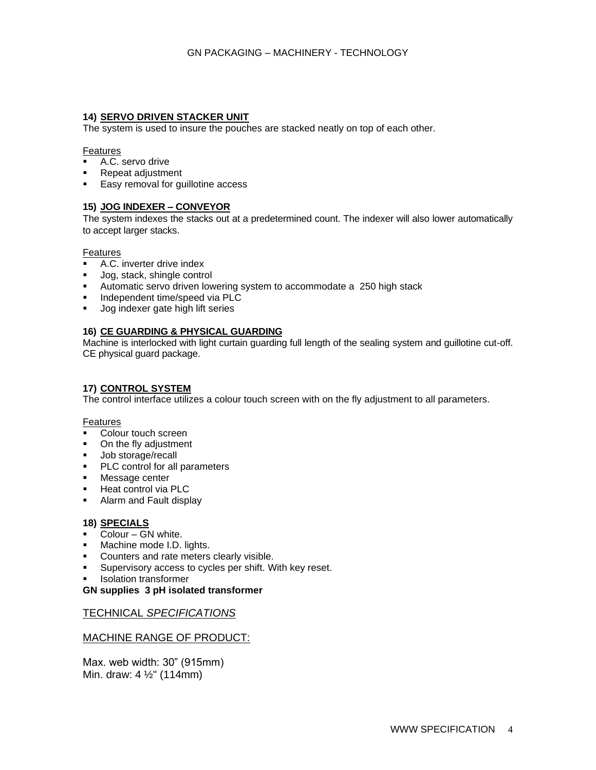# **14) SERVO DRIVEN STACKER UNIT**

The system is used to insure the pouches are stacked neatly on top of each other.

#### Features

- A.C. servo drive
- Repeat adjustment
- Easy removal for guillotine access

# **15) JOG INDEXER – CONVEYOR**

The system indexes the stacks out at a predetermined count. The indexer will also lower automatically to accept larger stacks.

## Features

- A.C. inverter drive index
- Jog, stack, shingle control
- Automatic servo driven lowering system to accommodate a 250 high stack
- Independent time/speed via PLC
- Jog indexer gate high lift series

# **16) CE GUARDING & PHYSICAL GUARDING**

Machine is interlocked with light curtain guarding full length of the sealing system and guillotine cut-off. CE physical guard package.

# **17) CONTROL SYSTEM**

The control interface utilizes a colour touch screen with on the fly adjustment to all parameters.

## **Features**

- Colour touch screen
- On the fly adjustment
- Job storage/recall
- PLC control for all parameters
- Message center
- Heat control via PLC
- Alarm and Fault display

## **18) SPECIALS**

- Colour GN white.
- Machine mode I.D. lights.
- Counters and rate meters clearly visible.
- Supervisory access to cycles per shift. With key reset.
- **Isolation transformer**

## **GN supplies 3 pH isolated transformer**

# TECHNICAL *SPECIFICATIONS*

# MACHINE RANGE OF PRODUCT:

Max. web width: 30" (915mm) Min. draw: 4 ½" (114mm)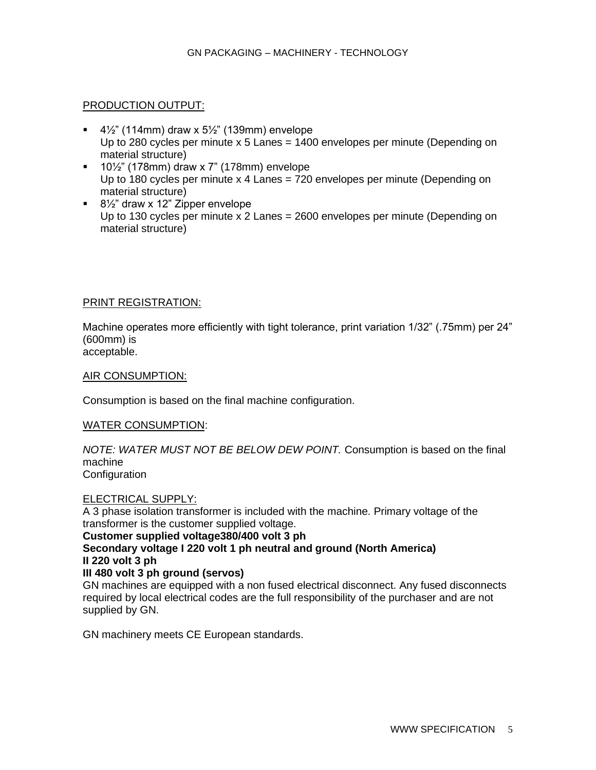# PRODUCTION OUTPUT:

- 4½" (114mm) draw x  $5\frac{1}{2}$ " (139mm) envelope Up to 280 cycles per minute x 5 Lanes = 1400 envelopes per minute (Depending on material structure)
- 10½" (178mm) draw x 7" (178mm) envelope Up to 180 cycles per minute x 4 Lanes = 720 envelopes per minute (Depending on material structure)
- 8½" draw x 12" Zipper envelope Up to 130 cycles per minute x 2 Lanes = 2600 envelopes per minute (Depending on material structure)

# PRINT REGISTRATION:

Machine operates more efficiently with tight tolerance, print variation 1/32" (.75mm) per 24" (600mm) is acceptable.

AIR CONSUMPTION:

Consumption is based on the final machine configuration.

# WATER CONSUMPTION:

*NOTE: WATER MUST NOT BE BELOW DEW POINT.* Consumption is based on the final machine **Configuration** 

# ELECTRICAL SUPPLY:

A 3 phase isolation transformer is included with the machine. Primary voltage of the transformer is the customer supplied voltage.

# **Customer supplied voltage380/400 volt 3 ph**

**Secondary voltage I 220 volt 1 ph neutral and ground (North America) II 220 volt 3 ph**

# **III 480 volt 3 ph ground (servos)**

GN machines are equipped with a non fused electrical disconnect. Any fused disconnects required by local electrical codes are the full responsibility of the purchaser and are not supplied by GN.

GN machinery meets CE European standards.